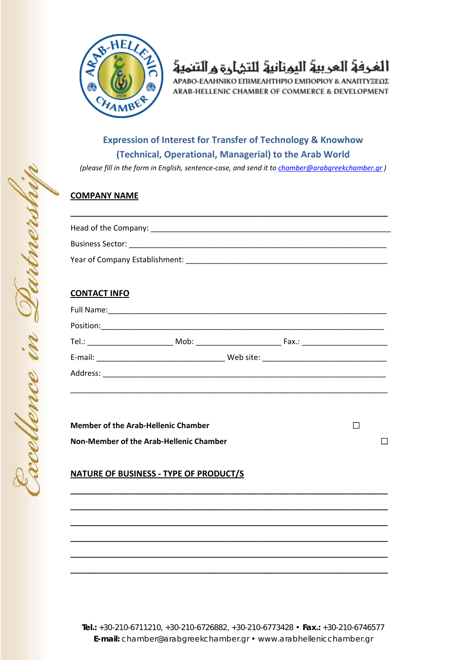

# الغرفة العربية اليونانية للتمارة والتنمية

ΑΡΑΒΟ-ΕΛΛΗΝΙΚΟ ΕΠΙΜΕΛΗΤΗΡΙΟ ΕΜΠΟΡΙΟΥ & ΑΝΑΠΤΥΞΕΩΣ ARAB-HELLENIC CHAMBER OF COMMERCE & DEVELOPMENT

### **Expression of Interest for Transfer of Technology & Knowhow (Technical, Operational, Managerial) to the Arab World**

*(please fill in the form in English, sentence‐case, and send it to chamber@arabgreekchamber.gr )*

#### **COMPANY NAME**

| Head of the Company:           |
|--------------------------------|
| <b>Business Sector:</b>        |
| Year of Company Establishment: |

**\_\_\_\_\_\_\_\_\_\_\_\_\_\_\_\_\_\_\_\_\_\_\_\_\_\_\_\_\_\_\_\_\_\_\_\_\_\_\_\_\_\_\_\_\_\_\_\_\_\_\_\_\_\_\_\_\_\_\_\_\_\_\_\_\_\_\_\_\_\_\_\_\_\_**

### **CONTACT INFO**

| Tel.: _________________________ | Mob: __________________ |  |
|---------------------------------|-------------------------|--|
|                                 |                         |  |
| Address:                        |                         |  |

\_\_\_\_\_\_\_\_\_\_\_\_\_\_\_\_\_\_\_\_\_\_\_\_\_\_\_\_\_\_\_\_\_\_\_\_\_\_\_\_\_\_\_\_\_\_\_\_\_\_\_\_\_\_\_\_\_\_\_\_\_\_\_\_\_\_\_\_\_\_\_\_\_\_

**\_\_\_\_\_\_\_\_\_\_\_\_\_\_\_\_\_\_\_\_\_\_\_\_\_\_\_\_\_\_\_\_\_\_\_\_\_\_\_\_\_\_\_\_\_\_\_\_\_\_\_\_\_\_\_\_\_\_\_\_\_\_\_\_\_\_\_\_\_\_\_\_\_\_**

**\_\_\_\_\_\_\_\_\_\_\_\_\_\_\_\_\_\_\_\_\_\_\_\_\_\_\_\_\_\_\_\_\_\_\_\_\_\_\_\_\_\_\_\_\_\_\_\_\_\_\_\_\_\_\_\_\_\_\_\_\_\_\_\_\_\_\_\_\_\_\_\_\_\_**

**\_\_\_\_\_\_\_\_\_\_\_\_\_\_\_\_\_\_\_\_\_\_\_\_\_\_\_\_\_\_\_\_\_\_\_\_\_\_\_\_\_\_\_\_\_\_\_\_\_\_\_\_\_\_\_\_\_\_\_\_\_\_\_\_\_\_\_\_\_\_\_\_\_\_**

**\_\_\_\_\_\_\_\_\_\_\_\_\_\_\_\_\_\_\_\_\_\_\_\_\_\_\_\_\_\_\_\_\_\_\_\_\_\_\_\_\_\_\_\_\_\_\_\_\_\_\_\_\_\_\_\_\_\_\_\_\_\_\_\_\_\_\_\_\_\_\_\_\_\_**

**\_\_\_\_\_\_\_\_\_\_\_\_\_\_\_\_\_\_\_\_\_\_\_\_\_\_\_\_\_\_\_\_\_\_\_\_\_\_\_\_\_\_\_\_\_\_\_\_\_\_\_\_\_\_\_\_\_\_\_\_\_\_\_\_\_\_\_\_\_\_\_\_\_\_**

**\_\_\_\_\_\_\_\_\_\_\_\_\_\_\_\_\_\_\_\_\_\_\_\_\_\_\_\_\_\_\_\_\_\_\_\_\_\_\_\_\_\_\_\_\_\_\_\_\_\_\_\_\_\_\_\_\_\_\_\_\_\_\_\_\_\_\_\_\_\_\_\_\_\_**

**Member of the Arab‐Hellenic Chamber Non‐Member of the Arab‐Hellenic Chamber** 

#### **NATURE OF BUSINESS ‐ TYPE OF PRODUCT/S**

**Tel.:** +30-210-6711210, +30-210-6726882, +30-210-6773428 • **Fax.:** +30-210-6746577 **E-mail:** chamber@arabgreekchamber.gr • www.arabhellenicchamber.gr